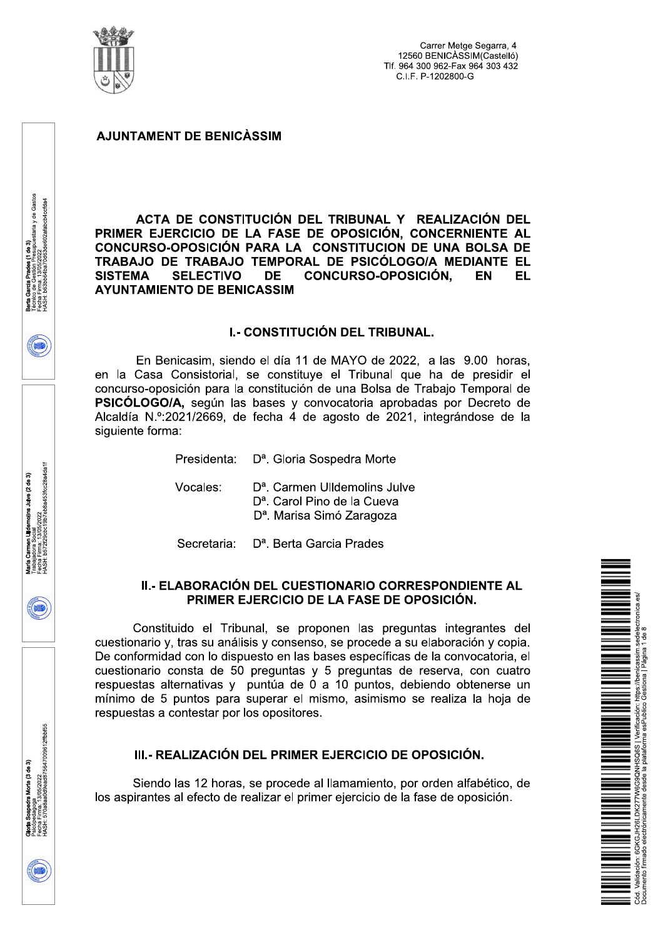

ACTA DE CONSTITUCIÓN DEL TRIBUNAL Y REALIZACIÓN DEL PRIMER EJERCICIO DE LA FASE DE OPOSICIÓN, CONCERNIENTE AL CONCURSO-OPOSICIÓN PARA LA CONSTITUCION DE UNA BOLSA DE TRABAJO DE TRABAJO TEMPORAL DE PSICÓLOGO/A MEDIANTE EL **DE SISTEMA SELECTIVO CONCURSO-OPOSICIÓN. EN EL AYUNTAMIENTO DE BENICASSIM** 

#### **I.- CONSTITUCIÓN DEL TRIBUNAL.**

En Benicasim, siendo el día 11 de MAYO de 2022, a las 9.00 horas. en la Casa Consistorial, se constituve el Tribunal que ha de presidir el concurso-oposición para la constitución de una Bolsa de Trabajo Temporal de PSICÓLOGO/A, según las bases y convocatoria aprobadas por Decreto de Alcaldía N.º:2021/2669, de fecha 4 de agosto de 2021, integrándose de la siguiente forma:

Presidenta:

D<sup>a</sup>. Gloria Sospedra Morte

Vocales:

D<sup>a</sup>. Carmen Ulldemolins Julye

D<sup>a</sup>. Carol Pino de la Cueva

D<sup>a</sup>. Marisa Simó Zaragoza

Secretaria: D<sup>a</sup>. Berta Garcia Prades

## II.- ELABORACIÓN DEL CUESTIONARIO CORRESPONDIENTE AL PRIMER EJERCICIO DE LA FASE DE OPOSICIÓN.

Constituido el Tribunal, se proponen las preguntas integrantes del cuestionario y, tras su análisis y consenso, se procede a su elaboración y copia. De conformidad con lo dispuesto en las bases específicas de la convocatoria, el cuestionario consta de 50 preguntas y 5 preguntas de reserva, con cuatro respuestas alternativas y puntúa de 0 a 10 puntos, debiendo obtenerse un mínimo de 5 puntos para superar el mismo, asimismo se realiza la hoja de respuestas a contestar por los opositores.

III.- REALIZACIÓN DEL PRIMER EJERCICIO DE OPOSICIÓN.

Siendo las 12 horas, se procede al llamamiento, por orden alfabético, de los aspirantes al efecto de realizar el primer ejercicio de la fase de oposición.



Firma: 13/05/2022<br>b572f29cbc19b7eb8a453fcc28a4da1f olins Julve (2 de 3)

ಸಂಜುಲಕ್ಷ<br>Firma: 13/05/2022<br>570a8aa0d9ead875647009612ffbbf55

Aorte (3 de 3)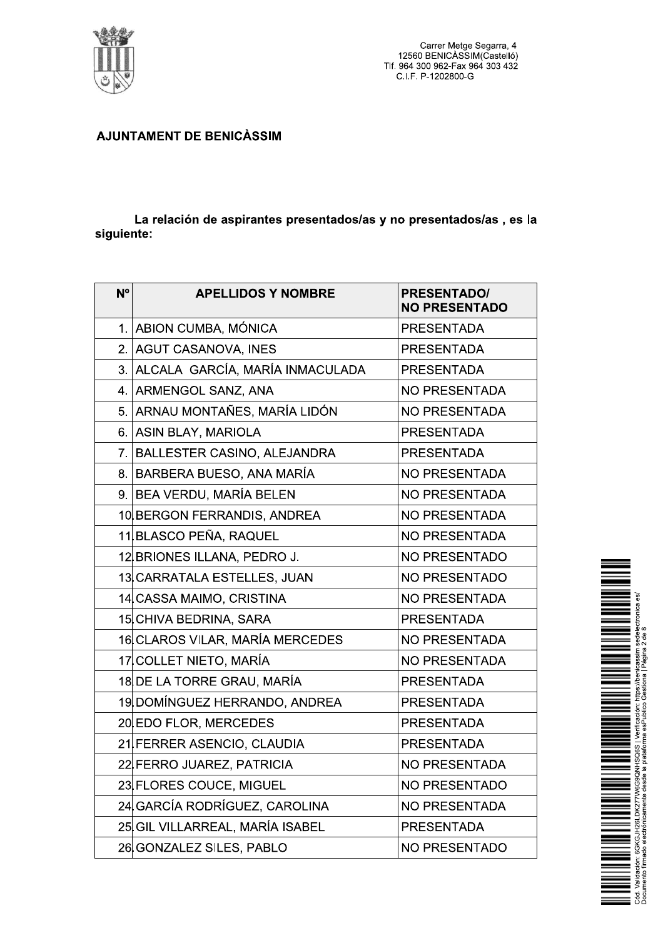

La relación de aspirantes presentados/as y no presentados/as, es la siguiente:

| N <sup>o</sup> | <b>APELLIDOS Y NOMBRE</b>          | <b>PRESENTADO/</b><br><b>NO PRESENTADO</b> |
|----------------|------------------------------------|--------------------------------------------|
|                | 1. ABION CUMBA, MÓNICA             | <b>PRESENTADA</b>                          |
|                | 2. AGUT CASANOVA, INES             | <b>PRESENTADA</b>                          |
|                | 3. ALCALA GARCÍA, MARÍA INMACULADA | <b>PRESENTADA</b>                          |
|                | 4. ARMENGOL SANZ, ANA              | <b>NO PRESENTADA</b>                       |
|                | 5. ARNAU MONTAÑES, MARÍA LIDÓN     | <b>NO PRESENTADA</b>                       |
|                | 6. ASIN BLAY, MARIOLA              | <b>PRESENTADA</b>                          |
|                | 7. BALLESTER CASINO, ALEJANDRA     | <b>PRESENTADA</b>                          |
|                | 8. BARBERA BUESO, ANA MARÍA        | <b>NO PRESENTADA</b>                       |
|                | 9. BEA VERDU, MARÍA BELEN          | <b>NO PRESENTADA</b>                       |
|                | 10 BERGON FERRANDIS, ANDREA        | <b>NO PRESENTADA</b>                       |
|                | 11 BLASCO PEÑA, RAQUEL             | <b>NO PRESENTADA</b>                       |
|                | 12 BRIONES ILLANA, PEDRO J.        | <b>NO PRESENTADO</b>                       |
|                | 13 CARRATALA ESTELLES, JUAN        | <b>NO PRESENTADO</b>                       |
|                | 14 CASSA MAIMO, CRISTINA           | <b>NO PRESENTADA</b>                       |
|                | 15 CHIVA BEDRINA, SARA             | <b>PRESENTADA</b>                          |
|                | 16 CLAROS VILAR, MARÍA MERCEDES    | <b>NO PRESENTADA</b>                       |
|                | 17 COLLET NIETO, MARÍA             | <b>NO PRESENTADA</b>                       |
|                | 18 DE LA TORRE GRAU, MARÍA         | <b>PRESENTADA</b>                          |
|                | 19 DOMÍNGUEZ HERRANDO, ANDREA      | <b>PRESENTADA</b>                          |
|                | 20 EDO FLOR, MERCEDES              | <b>PRESENTADA</b>                          |
|                | 21 FERRER ASENCIO, CLAUDIA         | <b>PRESENTADA</b>                          |
|                | 22 FERRO JUAREZ, PATRICIA          | <b>NO PRESENTADA</b>                       |
|                | 23 FLORES COUCE, MIGUEL            | <b>NO PRESENTADO</b>                       |
|                | 24 GARCÍA RODRÍGUEZ, CAROLINA      | <b>NO PRESENTADA</b>                       |
|                | 25 GIL VILLARREAL, MARÍA ISABEL    | <b>PRESENTADA</b>                          |
|                | 26 GONZALEZ SILES, PABLO           | <b>NO PRESENTADO</b>                       |

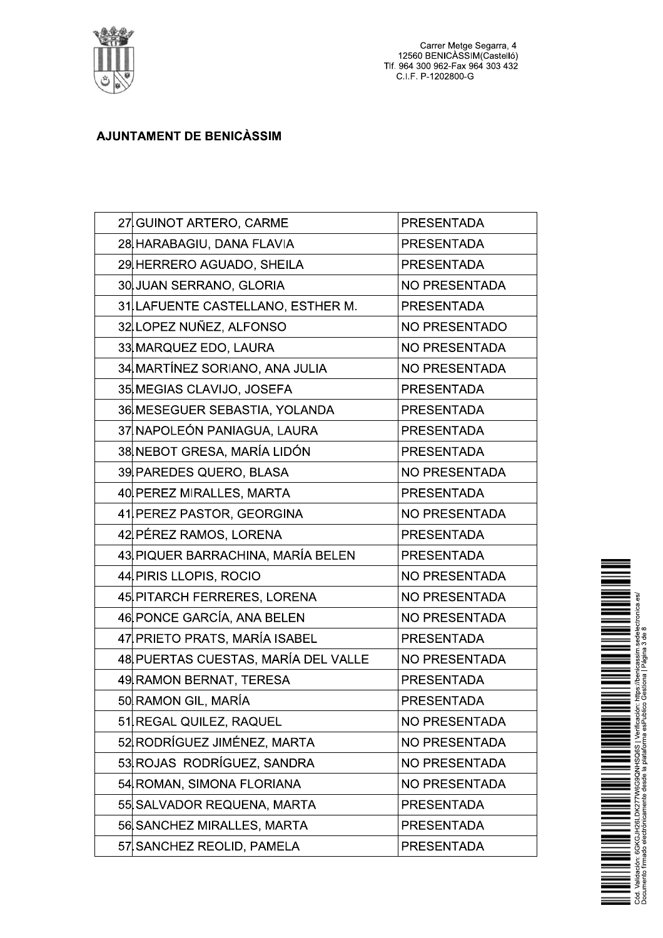

Carrer Metge Segarra, 4<br>12560 BENICÀSSIM(Castelló)<br>Tlf. 964 300 962-Fax 964 303 432<br>C.I.F. P-1202800-G

# **AJUNTAMENT DE BENICÀSSIM**

| 27 GUINOT ARTERO, CARME             | <b>PRESENTADA</b>    |
|-------------------------------------|----------------------|
| 28 HARABAGIU, DANA FLAVIA           | <b>PRESENTADA</b>    |
| 29 HERRERO AGUADO, SHEILA           | <b>PRESENTADA</b>    |
| 30 JUAN SERRANO, GLORIA             | <b>NO PRESENTADA</b> |
| 31 LAFUENTE CASTELLANO, ESTHER M.   | <b>PRESENTADA</b>    |
| 32 LOPEZ NUÑEZ, ALFONSO             | <b>NO PRESENTADO</b> |
| 33 MARQUEZ EDO, LAURA               | <b>NO PRESENTADA</b> |
| 34 MARTÍNEZ SORIANO, ANA JULIA      | <b>NO PRESENTADA</b> |
| 35 MEGIAS CLAVIJO, JOSEFA           | <b>PRESENTADA</b>    |
| 36 MESEGUER SEBASTIA, YOLANDA       | <b>PRESENTADA</b>    |
| 37 NAPOLEÓN PANIAGUA, LAURA         | <b>PRESENTADA</b>    |
| 38 NEBOT GRESA, MARÍA LIDÓN         | <b>PRESENTADA</b>    |
| 39 PAREDES QUERO, BLASA             | <b>NO PRESENTADA</b> |
| 40 PEREZ MIRALLES, MARTA            | <b>PRESENTADA</b>    |
| 41 PEREZ PASTOR, GEORGINA           | <b>NO PRESENTADA</b> |
| 42 PÉREZ RAMOS, LORENA              | <b>PRESENTADA</b>    |
| 43 PIQUER BARRACHINA, MARÍA BELEN   | <b>PRESENTADA</b>    |
| 44 PIRIS LLOPIS, ROCIO              | <b>NO PRESENTADA</b> |
| 45 PITARCH FERRERES, LORENA         | <b>NO PRESENTADA</b> |
| 46 PONCE GARCÍA, ANA BELEN          | <b>NO PRESENTADA</b> |
| 47 PRIETO PRATS, MARÍA ISABEL       | <b>PRESENTADA</b>    |
| 48 PUERTAS CUESTAS, MARÍA DEL VALLE | <b>NO PRESENTADA</b> |
| 49 RAMON BERNAT, TERESA             | <b>PRESENTADA</b>    |
| 50 RAMON GIL, MARÍA                 | <b>PRESENTADA</b>    |
| 51 REGAL QUILEZ, RAQUEL             | <b>NO PRESENTADA</b> |
| 52 RODRÍGUEZ JIMÉNEZ, MARTA         | <b>NO PRESENTADA</b> |
| 53 ROJAS RODRÍGUEZ, SANDRA          | <b>NO PRESENTADA</b> |
| 54 ROMAN, SIMONA FLORIANA           | <b>NO PRESENTADA</b> |
| 55 SALVADOR REQUENA, MARTA          | <b>PRESENTADA</b>    |
| 56 SANCHEZ MIRALLES, MARTA          | <b>PRESENTADA</b>    |
| 57 SANCHEZ REOLID, PAMELA           | <b>PRESENTADA</b>    |

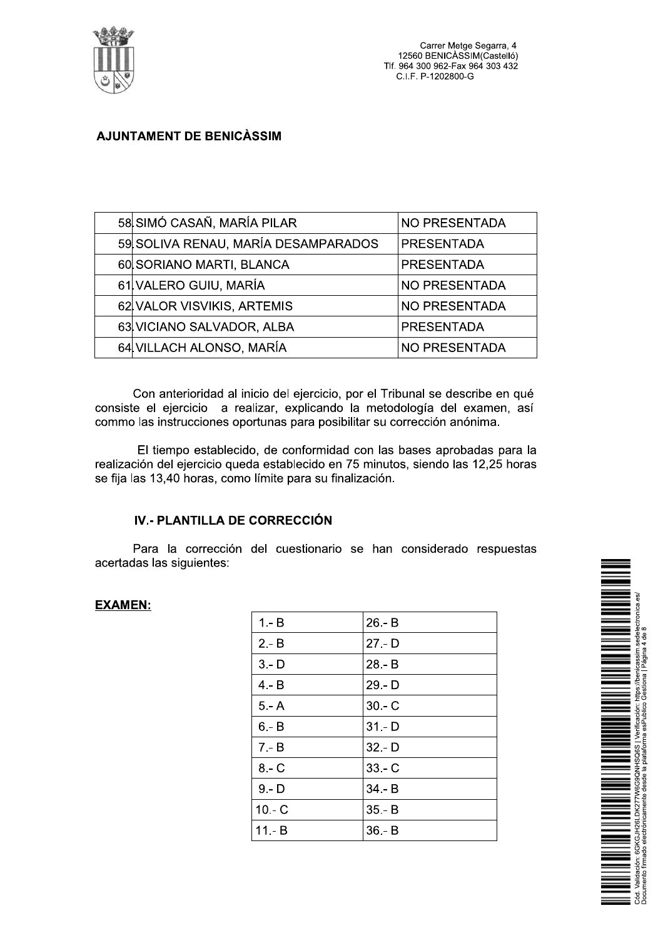

|  |                                     | Carrer Metge Segarra, 4<br>12560 BENICÀSSIM(Castelló)<br>Tlf. 964 300 962-Fax 964 303 432<br>C.I.F. P-1202800-G |  |
|--|-------------------------------------|-----------------------------------------------------------------------------------------------------------------|--|
|  | <b>AJUNTAMENT DE BENICÀSSIM</b>     |                                                                                                                 |  |
|  |                                     |                                                                                                                 |  |
|  |                                     |                                                                                                                 |  |
|  | 58 SIMÓ CASAÑ, MARÍA PILAR          | <b>NO PRESENTADA</b>                                                                                            |  |
|  | 59 SOLIVA RENAU, MARÍA DESAMPARADOS | <b>PRESENTADA</b>                                                                                               |  |
|  | 60 SORIANO MARTI, BLANCA            | <b>PRESENTADA</b>                                                                                               |  |
|  | 61 VALERO GUIU, MARÍA               | <b>NO PRESENTADA</b>                                                                                            |  |
|  | 62 VALOR VISVIKIS, ARTEMIS          | <b>NO PRESENTADA</b>                                                                                            |  |
|  | 63 VICIANO SALVADOR, ALBA           | <b>PRESENTADA</b>                                                                                               |  |
|  | 64 VILLACH ALONSO, MARÍA            | <b>NO PRESENTADA</b>                                                                                            |  |

Con anterioridad al inicio del ejercicio, por el Tribunal se describe en que consiste el ejercicio a realizar, explicando la metodología del examen, así commo las instrucciones oportunas para posibilitar su corrección anonima.

El tiempo establecido, de conformidad con las bases aprobadas para la realización del ejercicio queda establecido en 75 minutos, siendo las 12,25 horas  $s$ e fija las 13,40 noras, como límite para su finalización.

# IV.- PLANTILLA DE CORRECCIÓN

Para la corrección del cuestionario se han considerado respuestas acertadas las siguientes:

# EXAMEN:

|          | del cuestionario se han considerado respuestas |   |                                                                                                                                                                                               |
|----------|------------------------------------------------|---|-----------------------------------------------------------------------------------------------------------------------------------------------------------------------------------------------|
|          |                                                |   |                                                                                                                                                                                               |
| $1 - B$  | 26.-B                                          | È |                                                                                                                                                                                               |
| $2 - B$  | $27 - D$                                       |   |                                                                                                                                                                                               |
| $3 - D$  | 28.-B                                          |   |                                                                                                                                                                                               |
| $4 - B$  | 29.-D                                          |   |                                                                                                                                                                                               |
| $5 - A$  | $30 - C$                                       |   |                                                                                                                                                                                               |
| $6 - B$  | $31 - D$                                       |   |                                                                                                                                                                                               |
| $7 - B$  | 32.-D                                          |   |                                                                                                                                                                                               |
| $8 - C$  | $33 - C$                                       |   |                                                                                                                                                                                               |
| $9 - D$  | 34.-B                                          |   |                                                                                                                                                                                               |
| $10 - C$ | $35.-B$                                        |   |                                                                                                                                                                                               |
| $11 - B$ | $36.-B$                                        |   |                                                                                                                                                                                               |
|          |                                                |   | Cód. Validación: 6GKGJH26LDK277W6G9QNHSQ6S   Verificación: https://benicassim.sedelectronica.es/<br>Documento firmado electrónicamente desde la plataforma esPublico Gestiona   Página 4 de 8 |
|          |                                                |   |                                                                                                                                                                                               |
|          |                                                |   |                                                                                                                                                                                               |

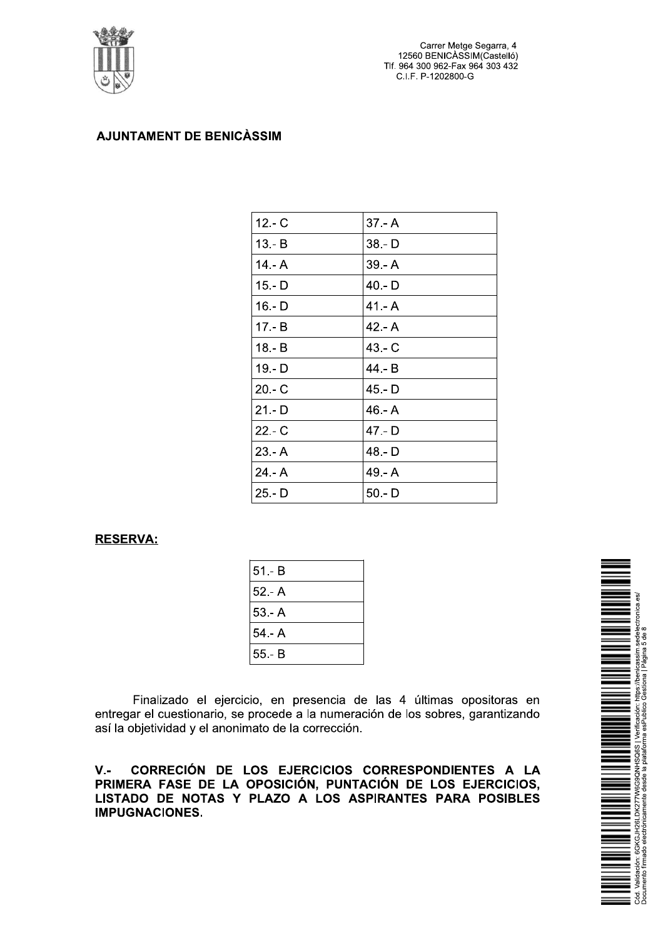

Carrer Metge Segarra, 4 12560 BENICASSIM(Castelló) Tlf. 964 300 962-Fax 964 303 432 C.I.F. P-1202800-G

## **AJUNTAMENT DE BENICÀSSIM**

| $12 - C$ | $37 - A$ |
|----------|----------|
| $13 - B$ | $38 - D$ |
| $14 - A$ | $39 - A$ |
| $15 - D$ | $40 - D$ |
| 16 - D   | $41 - A$ |
| $17 - B$ | $42 - A$ |
| $18 - B$ | $43 - C$ |
| $19 - D$ | 44.- B   |
| $20 - C$ | 45.-D    |
| $21 - D$ | $46 - A$ |
| $22 - C$ | $47 - D$ |
| $23 - A$ | 48.-D    |
| $24 - A$ | 49.- A   |
| $25 - D$ | $50 - D$ |

#### **RESERVA:**

| $51 - B$ |  |
|----------|--|
| $52 - A$ |  |
| $53 - A$ |  |
| $54 - A$ |  |
| $55 - B$ |  |
|          |  |

Finalizado el ejercicio, en presencia de las 4 últimas opositoras en entregar el cuestionario, se procede a la numeración de los sobres, garantizando así la objetividad y el anonimato de la corrección.

 $V -$ CORRECIÓN DE LOS EJERCICIOS CORRESPONDIENTES A LA PRIMERA FASE DE LA OPOSICIÓN, PUNTACIÓN DE LOS EJERCICIOS, LISTADO DE NOTAS Y PLAZO A LOS ASPIRANTES PARA POSIBLES **IMPUGNACIONES.** 

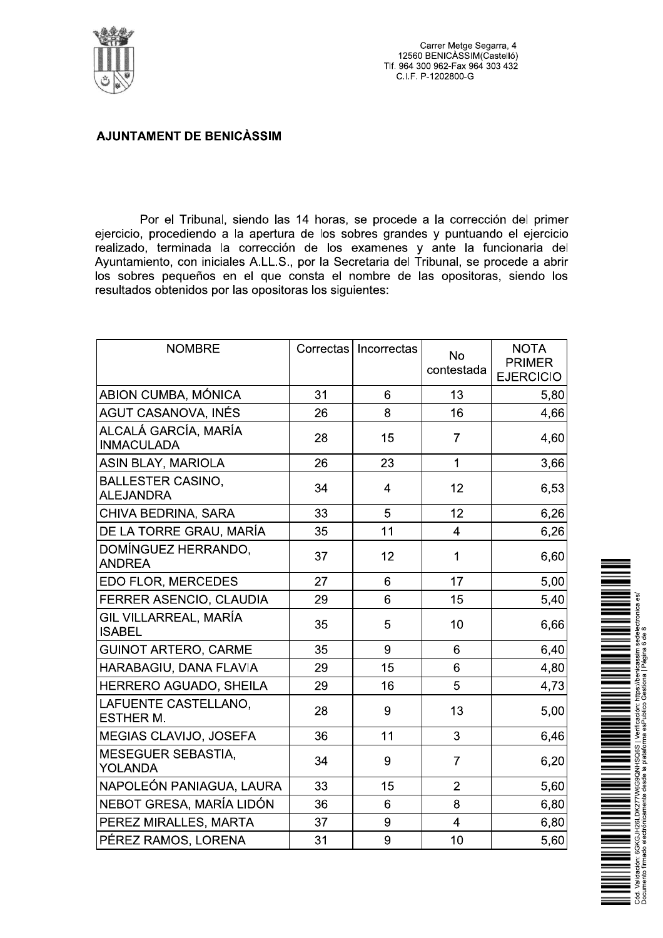

Por el Tribunal, siendo las 14 horas, se procede a la corrección del primer ejercicio, procediendo a la apertura de los sobres grandes y puntuando el ejercicio realizado, terminada la corrección de los examenes y ante la funcionaria del Ayuntamiento, con iniciales A.LL.S., por la Secretaria del Tribunal, se procede a abrir los sobres pequeños en el que consta el nombre de las opositoras, siendo los resultados obtenidos por las opositoras los siguientes:

| <b>NOMBRE</b>                                |    | Correctas   Incorrectas | <b>No</b><br>contestada | <b>NOTA</b><br><b>PRIMER</b><br><b>EJERCICIO</b> |
|----------------------------------------------|----|-------------------------|-------------------------|--------------------------------------------------|
| ABION CUMBA, MÓNICA                          | 31 | 6                       | 13                      | 5,80                                             |
| AGUT CASANOVA, INÉS                          | 26 | 8                       | 16                      | 4,66                                             |
| ALCALÁ GARCÍA, MARÍA<br><b>INMACULADA</b>    | 28 | 15                      | $\overline{7}$          | 4,60                                             |
| ASIN BLAY, MARIOLA                           | 26 | 23                      | $\mathbf{1}$            | 3,66                                             |
| <b>BALLESTER CASINO,</b><br><b>ALEJANDRA</b> | 34 | $\overline{4}$          | 12                      | 6,53                                             |
| CHIVA BEDRINA, SARA                          | 33 | 5                       | 12                      | 6,26                                             |
| DE LA TORRE GRAU, MARÍA                      | 35 | 11                      | $\overline{4}$          | 6,26                                             |
| DOMÍNGUEZ HERRANDO,<br><b>ANDREA</b>         | 37 | 12                      | 1                       | 6,60                                             |
| EDO FLOR, MERCEDES                           | 27 | 6                       | 17                      | 5,00                                             |
| FERRER ASENCIO, CLAUDIA                      | 29 | 6                       | 15                      | 5,40                                             |
| GIL VILLARREAL, MARÍA<br><b>ISABEL</b>       | 35 | 5                       | 10                      | 6,66                                             |
| <b>GUINOT ARTERO, CARME</b>                  | 35 | 9                       | 6                       | 6,40                                             |
| HARABAGIU, DANA FLAVIA                       | 29 | 15                      | 6                       | 4,80                                             |
| HERRERO AGUADO, SHEILA                       | 29 | 16                      | 5                       | 4,73                                             |
| LAFUENTE CASTELLANO,<br><b>ESTHER M.</b>     | 28 | 9                       | 13                      | 5,00                                             |
| MEGIAS CLAVIJO, JOSEFA                       | 36 | 11                      | 3                       | 6,46                                             |
| MESEGUER SEBASTIA,<br><b>YOLANDA</b>         | 34 | 9                       | $\overline{7}$          | 6,20                                             |
| NAPOLEÓN PANIAGUA, LAURA                     | 33 | 15                      | $\overline{2}$          | 5,60                                             |
| NEBOT GRESA, MARÍA LIDÓN                     | 36 | 6                       | 8                       | 6,80                                             |
| PEREZ MIRALLES, MARTA                        | 37 | 9                       | $\overline{4}$          | 6,80                                             |
| PÉREZ RAMOS, LORENA                          | 31 | 9                       | 10                      | 5,60                                             |

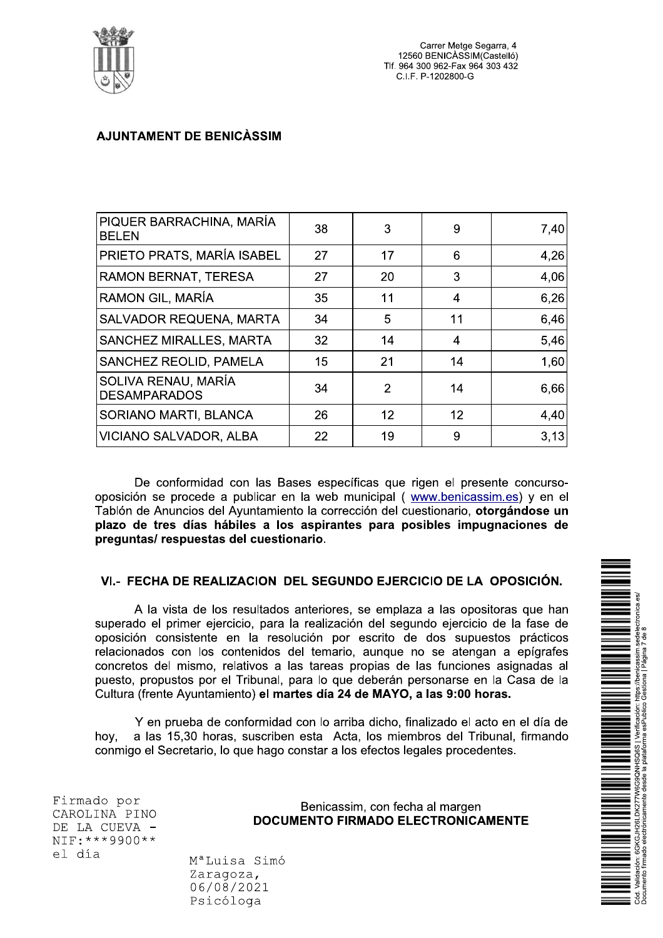

| PIQUER BARRACHINA, MARÍA<br><b>BELEN</b>   | 38 | 3  | 9  | 7,40 |
|--------------------------------------------|----|----|----|------|
| PRIETO PRATS, MARÍA ISABEL                 | 27 | 17 | 6  | 4,26 |
| RAMON BERNAT, TERESA                       | 27 | 20 | 3  | 4,06 |
| RAMON GIL, MARÍA                           | 35 | 11 | 4  | 6,26 |
| <b>SALVADOR REQUENA, MARTA</b>             | 34 | 5  | 11 | 6,46 |
| <b>SANCHEZ MIRALLES, MARTA</b>             | 32 | 14 | 4  | 5,46 |
| SANCHEZ REOLID, PAMELA                     | 15 | 21 | 14 | 1,60 |
| SOLIVA RENAU, MARÍA<br><b>DESAMPARADOS</b> | 34 | 2  | 14 | 6,66 |
| SORIANO MARTI, BLANCA                      | 26 | 12 | 12 | 4,40 |
| VICIANO SALVADOR, ALBA                     | 22 | 19 | 9  | 3,13 |

De conformidad con las Bases específicas que rigen el presente concursooposición se procede a publicar en la web municipal (www.benicassim.es) y en el Tablón de Anuncios del Ayuntamiento la corrección del cuestionario, otorgándose un plazo de tres días hábiles a los aspirantes para posibles impugnaciones de preguntas/respuestas del cuestionario.

#### VI.- FECHA DE REALIZACION DEL SEGUNDO EJERCICIO DE LA OPOSICIÓN.

A la vista de los resultados anteriores, se emplaza a las opositoras que han superado el primer ejercicio, para la realización del segundo ejercicio de la fase de oposición consistente en la resolución por escrito de dos supuestos prácticos relacionados con los contenidos del temario, aunque no se atengan a epígrafes concretos del mismo, relativos a las tareas propias de las funciones asignadas al puesto, propustos por el Tribunal, para lo que deberán personarse en la Casa de la Cultura (frente Ayuntamiento) el martes día 24 de MAYO, a las 9:00 horas.

Y en prueba de conformidad con lo arriba dicho, finalizado el acto en el día de a las 15,30 horas, suscriben esta Acta, los miembros del Tribunal, firmando hov. conmigo el Secretario, lo que hago constar a los efectos legales procedentes.

Firmado por CAROLINA PINO DE LA CUEVA - $NIF:***9900**$ el día

Benicassim, con fecha al margen **DOCUMENTO FIRMADO ELECTRONICAMENTE** 

M<sup>a</sup>Luisa Simó Zaragoza, 06/08/2021 Psicóloga